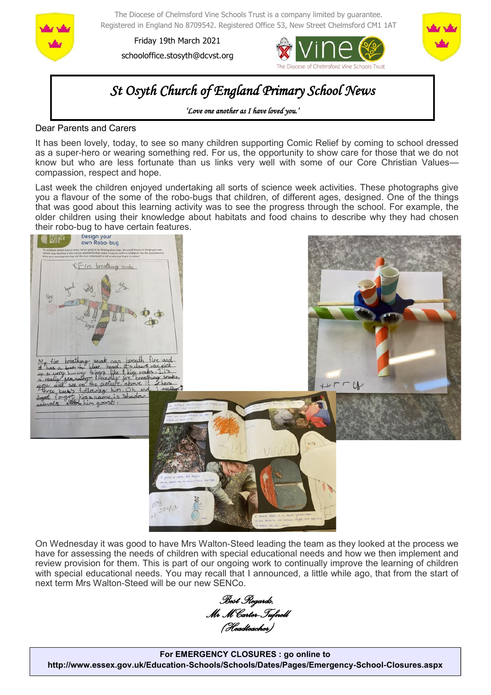

The Diocese of Chelmsford Vine Schools Trust is a company limited by guarantee. Registered in England No 8709542. Registered Office 53, New Street Chelmsford CM1 1AT

Friday 19th March 2021 schooloffice.stosyth@dcvst.org





# *St Osyth Church of England Primary School News*

*'Love one another as I have loved you.'* 

#### Dear Parents and Carers

It has been lovely, today, to see so many children supporting Comic Relief by coming to school dressed as a super-hero or wearing something red. For us, the opportunity to show care for those that we do not know but who are less fortunate than us links very well with some of our Core Christian Values compassion, respect and hope.

Last week the children enjoyed undertaking all sorts of science week activities. These photographs give you a flavour of the some of the robo-bugs that children, of different ages, designed. One of the things that was good about this learning activity was to see the progress through the school. For example, the older children using their knowledge about habitats and food chains to describe why they had chosen



On Wednesday it was good to have Mrs Walton-Steed leading the team as they looked at the process we have for assessing the needs of children with special educational needs and how we then implement and review provision for them. This is part of our ongoing work to continually improve the learning of children with special educational needs. You may recall that I announced, a little while ago, that from the start of next term Mrs Walton-Steed will be our new SENCo.

*Best Regards, Mr M Carter-Tufnell (Headteacher)*

**For EMERGENCY CLOSURES : go online to http://www.essex.gov.uk/Education-Schools/Schools/Dates/Pages/Emergency-School-Closures.aspx**